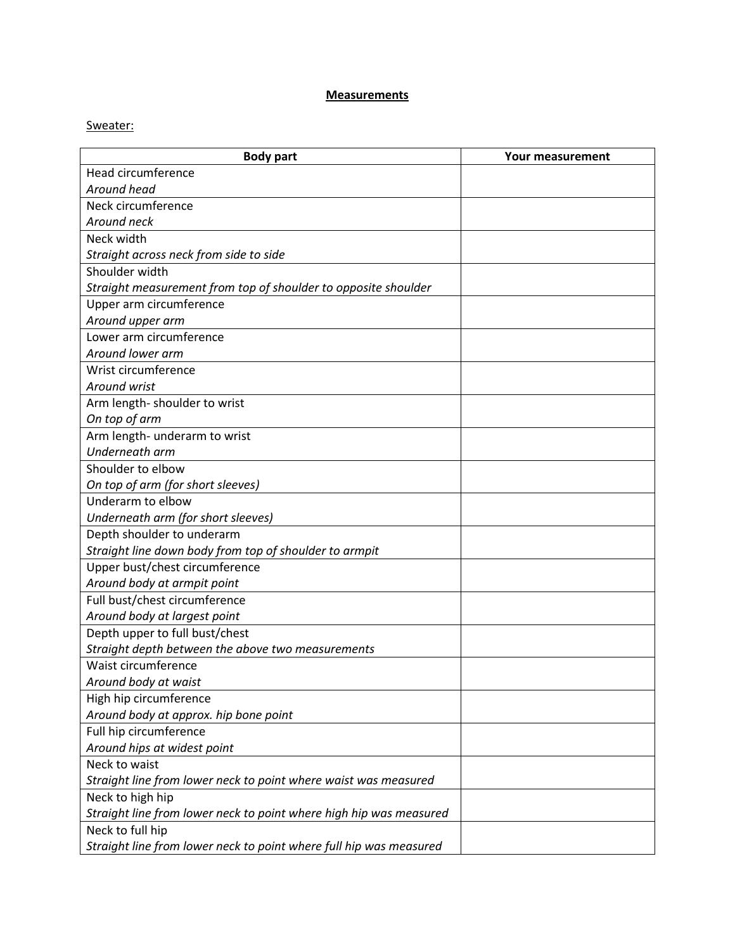## **Measurements**

## Sweater:

| <b>Body part</b>                                                   | <b>Your measurement</b> |
|--------------------------------------------------------------------|-------------------------|
| Head circumference                                                 |                         |
| Around head                                                        |                         |
| Neck circumference                                                 |                         |
| Around neck                                                        |                         |
| Neck width                                                         |                         |
| Straight across neck from side to side                             |                         |
| Shoulder width                                                     |                         |
| Straight measurement from top of shoulder to opposite shoulder     |                         |
| Upper arm circumference                                            |                         |
| Around upper arm                                                   |                         |
| Lower arm circumference                                            |                         |
| Around lower arm                                                   |                         |
| Wrist circumference                                                |                         |
| Around wrist                                                       |                         |
| Arm length- shoulder to wrist                                      |                         |
| On top of arm                                                      |                         |
| Arm length- underarm to wrist                                      |                         |
| Underneath arm                                                     |                         |
| Shoulder to elbow                                                  |                         |
| On top of arm (for short sleeves)                                  |                         |
| Underarm to elbow                                                  |                         |
| Underneath arm (for short sleeves)                                 |                         |
| Depth shoulder to underarm                                         |                         |
| Straight line down body from top of shoulder to armpit             |                         |
| Upper bust/chest circumference                                     |                         |
| Around body at armpit point                                        |                         |
| Full bust/chest circumference                                      |                         |
| Around body at largest point                                       |                         |
| Depth upper to full bust/chest                                     |                         |
| Straight depth between the above two measurements                  |                         |
| Waist circumference                                                |                         |
| Around body at waist                                               |                         |
| High hip circumference                                             |                         |
| Around body at approx. hip bone point                              |                         |
| Full hip circumference                                             |                         |
| Around hips at widest point                                        |                         |
| Neck to waist                                                      |                         |
| Straight line from lower neck to point where waist was measured    |                         |
| Neck to high hip                                                   |                         |
| Straight line from lower neck to point where high hip was measured |                         |
| Neck to full hip                                                   |                         |
| Straight line from lower neck to point where full hip was measured |                         |